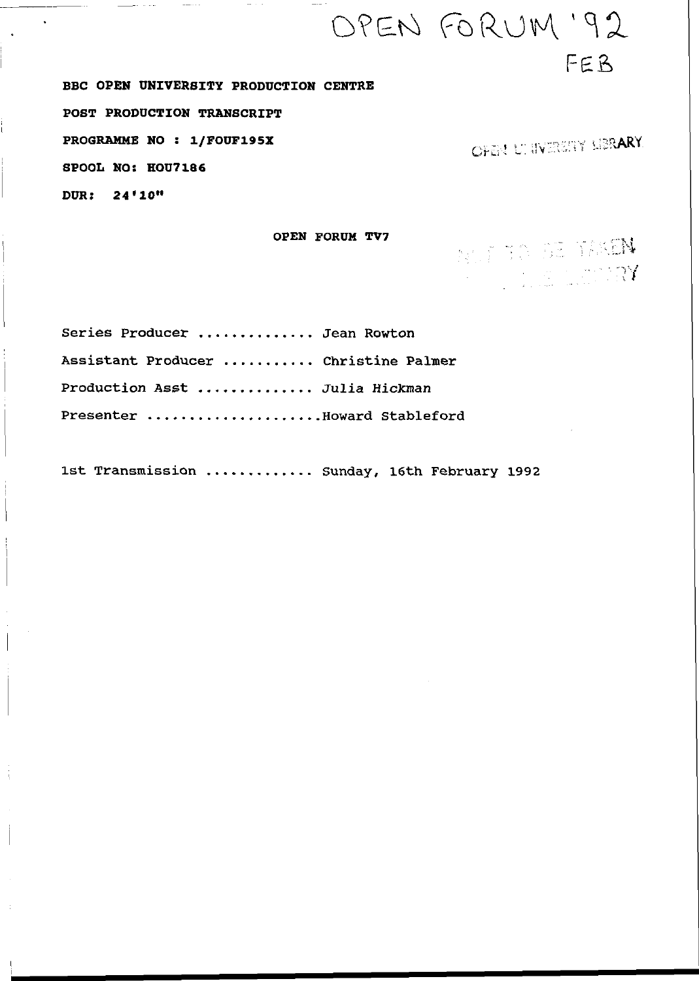**BBC OPEN UNIVERSITY PRODUCTION CENTRE POST PRODUCTION TRANSCRIPT PROGRAMME NO : 1/FOUF195X** , and the second the second three seconds  $\sim$  . The second second second second second second second second second second second second second second second second second second second second s **SPOOL NO: HOU7186**  *DVR: 24***•10"** 

OPEN FORUM '92

# Series Producer ............. Jean Rowton Assistant Producer .......... Christine Palmer Production Asst .............. Julia Hickman Presenter ...................Boward Stableford

1st Transmission ............ Sunday, 16th February 1992

FEB

**OPEN FORUM TV7**<br> **All the second of the SE TRACH**  $\frac{1}{2}$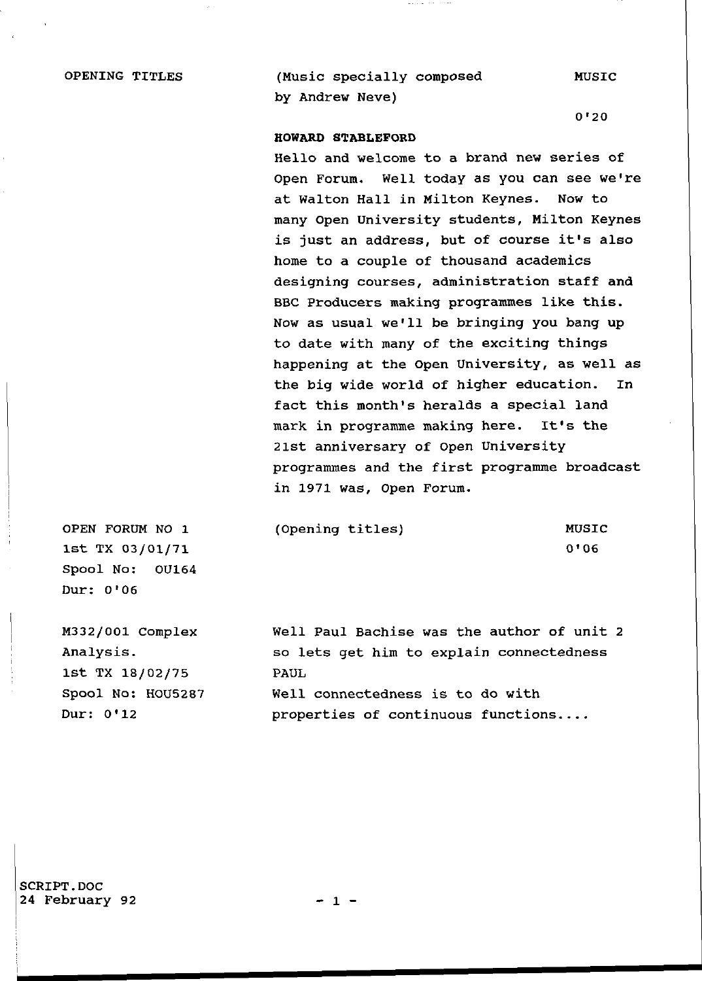OPENING TITLES (Music specially composed MUSIC by Andrew Neve)

0'2 0

#### **HOWARD STABLEFORD**

Hello and welcome to a brand new series of Open Forum. Well today as you can see we're at Walton Hall in Milton Keynes. Now to many Open University students, Milton Keynes is just an address, but of course it's also home to a couple of thousand academics designing courses, administration staff and BBC Producers making programmes like this. Now as usual we'll be bringing you bang up to date with many of the exciting things happening at the Open University, as well as the big wide world of higher education. In fact this month's heralds a special land mark in programme making here. It's the 21st anniversary of Open University programmes and the first programme broadcast in 1971 was, Open Forum.

OPEN FORUM NO 1 1st TX 03/01/71 Spool No: 0U164 Dur: 0'06

M332/001 Complex Analysis . 1st TX 18/02/75 Spool No: HOU5287 Dur: 0\*12

(Opening titles) MUSIC

 $0'06$ 

Well Paul Bachise was the author of unit 2 so lets get him to explain connectedness PAUL Well connectedness is to do with properties of continuous functions....

SCRIPT.DOC 24 February 92 - 1 -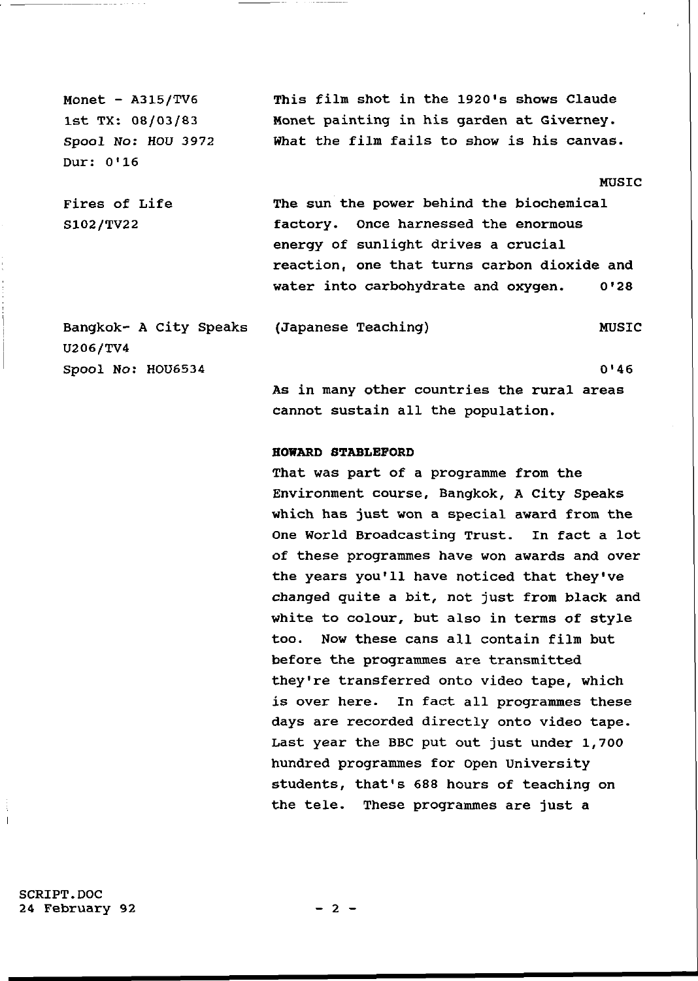Monet -  $A315/TV6$ 1st TX: 08/03/83 Spool *No:* HOU 3972 Dur: 0\*16

Fires of Life

S102/TV22

This film shot in the 1920's shows Claude Monet painting in his garden at Giverney. What the film fails to show is his canvas.

#### MUSIC

The sun the power behind the biochemical factory. Once harnessed the enormous energy of sunlight drives a crucial reaction, one that turns carbon dioxide and water into carbohydrate and oxygen. 0'28

Bangkok- A City Speaks U206/TV4 Spool No: HOU6534 (Japanese Teaching) MUSIC

 $0'46$ 

As in many other countries the rural areas cannot sustain all the population.

#### **HOWARD STABLEFORD**

That was part of a programme from the Environment course, Bangkok, A City Speaks which has just won a special award from the One World Broadcasting Trust. In fact a lot of these programmes have won awards and over the years you'll have noticed that they've changed quite a bit, not just from black and white to colour, but also in terms of style too. Now these cans all contain film but before the programmes are transmitted they're transferred onto video tape, which is over here. In fact all programmes these days are recorded directly onto video tape. Last year the BBC put out just under 1,700 hundred programmes for Open University students, that's 688 hours of teaching on the tele. These programmes are just a

SCRIPT.DOC 24 February 92 - 2 -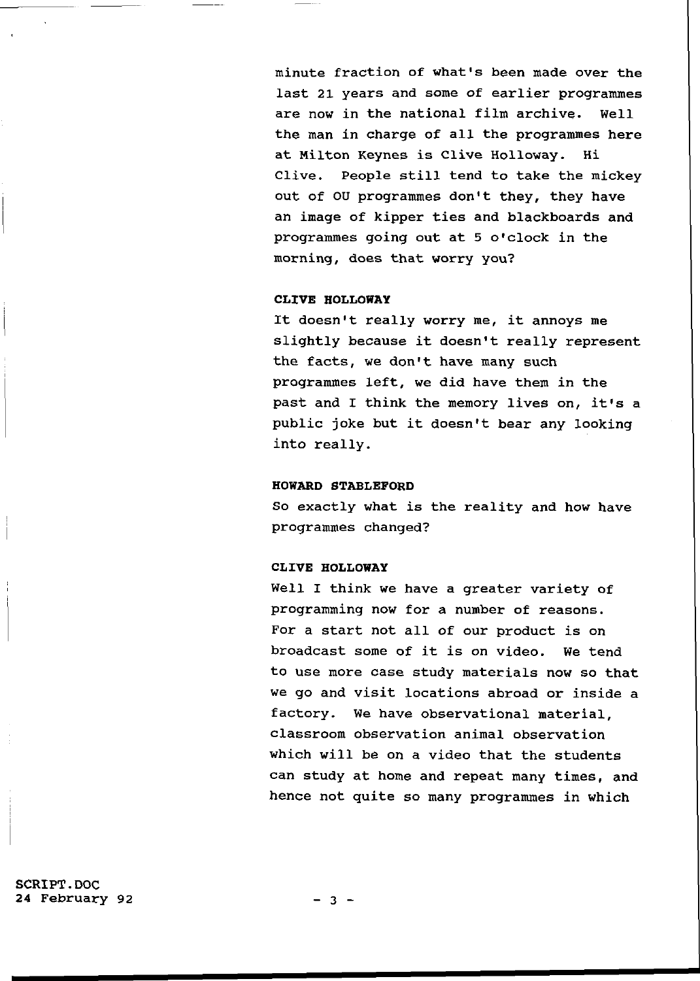minute fraction of what's been made over the last 21 years and some of earlier programmes are now in the national film archive. Well the man in charge of all the programmes here at Milton Keynes is Clive Holloway. Hi Clive. People still tend to take the mickey out of OU programmes don't they, they have an image of kipper ties and blackboards and programmes going out at 5 o'clock in the morning, does that worry you?

# **CLIVE HOLLOWAY**

It doesn't really worry me, it annoys me slightly because it doesn't really represent the facts, we don't have many such programmes left, we did have them in the past and I think the memory lives on, it's a public joke but it doesn't bear any looking into really.

## **HOWARD STABLEFORD**

So exactly what is the reality and how have programmes changed?

## **CLIVE HOLLOWAY**

Well I think we have a greater variety of programming now for a number of reasons. For a start not all of our product is on broadcast some of it is on video. We tend to use more case study materials now so that we go and visit locations abroad or inside a factory. We have observational material, classroom observation animal observation which will be on a video that the students can study at home and repeat many times, and hence not quite so many programmes in which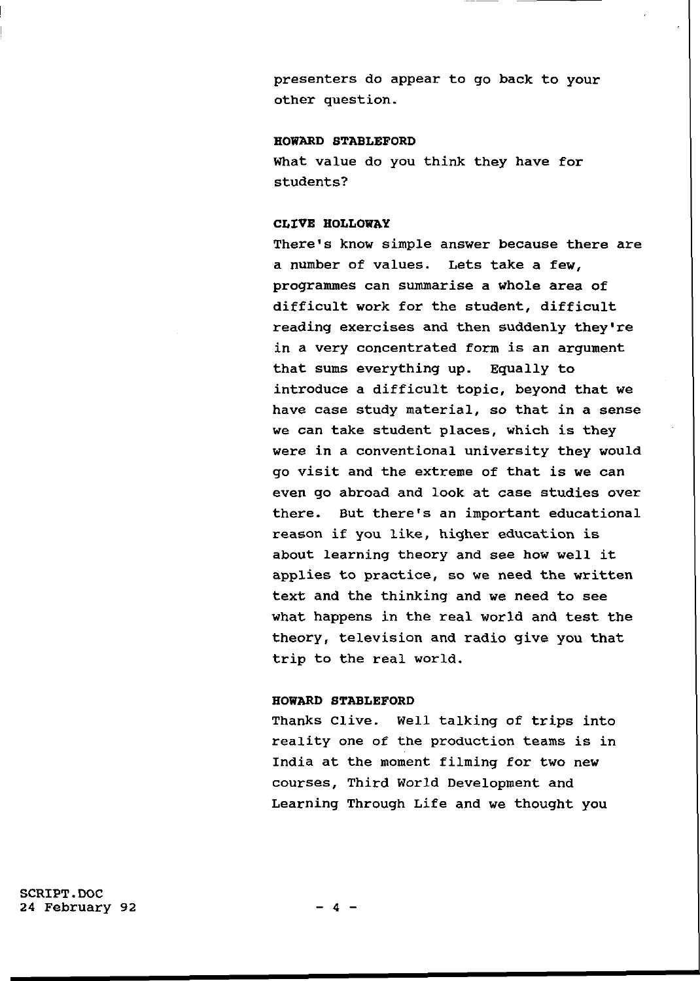presenters do appear to go back to your other question.

#### **HOWARD STABLEFORD**

What value do you think they have for students ?

## **CLIVE HOLLOWAY**

There's know simple answer because there are a number of values. Lets take a few, programmes can summarise a whole area of difficult work for the student, difficult reading exercises and then suddenly they're in a very concentrated form is an argument that sums everything up. Equally to introduce a difficult topic. beyond that we have case study material, so that in a sense we can take student places, which is they were in a conventional university they would go visit and the extreme of that is we can even go abroad and look at case studies over there. But there's an important educational reason if you like, higher education is about learning theory and see how well it applies to practice, so we need the written text and the thinking and we need to see what happens in the real world and test the theory, television and radio give you that trip to the real world.

#### **HOWARD STABLEFORD**

Thanks Clive. Well talking of trips into reality one of the production teams is in India at the moment filming for two new courses, Third World Development and Learning Through Life and we thought you

SCRIPT.DOC  $24$  February 92  $-4$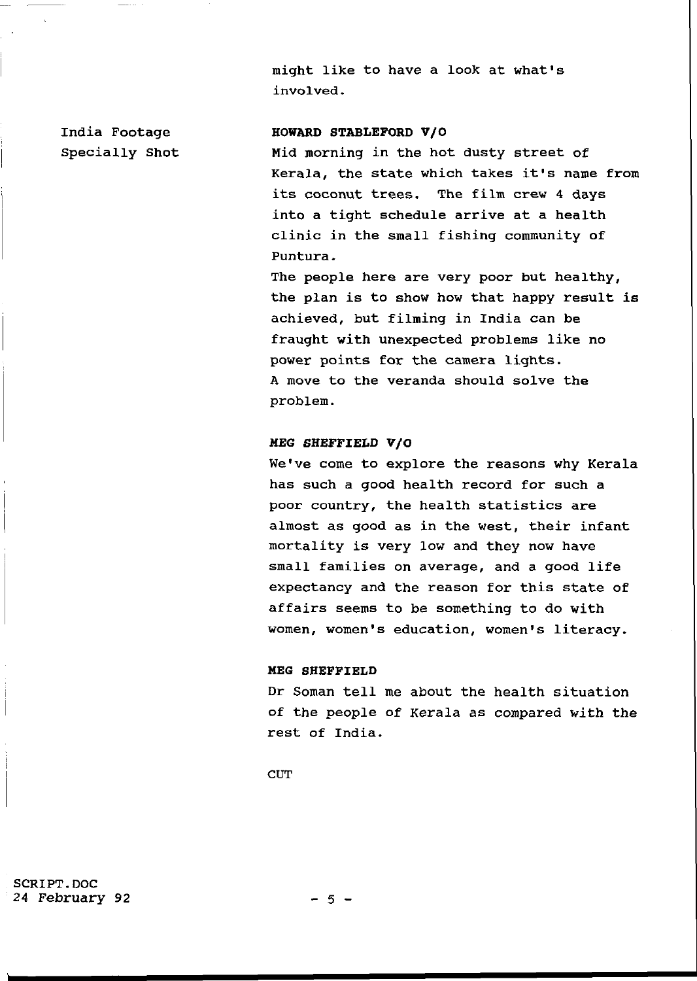might like to have a look at what's involved.

## India Footage **HOWARD STABLEFORD V/O**

Specially Shot Mid morning in the hot dusty street of Kerala, the state which takes it's name from its coconut trees. The film crew 4 days into a tight schedule arrive at a health clinic in the small fishing community of Puntura.

> The people here are very poor but healthy, the plan is to show how that happy result is achieved, but filming in India can be fraught with unexpected problems like no power points for the camera lights. A move to the veranda should solve the problem.

# **MEG SHEFFIELD V/ 0**

We've come to explore the reasons why Kerala has such a good health record for such a poor country, the health statistics are almost as good as in the west, their infant mortality is very low and they now have small families on average, and a good life expectancy and the reason for this state of affairs seems to be something to do with women, women's education, women's literacy.

#### **MEG SHEFFIELD**

Dr Soman tell me about the health situation of the people of Kerala as compared with the rest of India.

**CUT** 

SCRIPT.DOC 24 February 92 - 5 -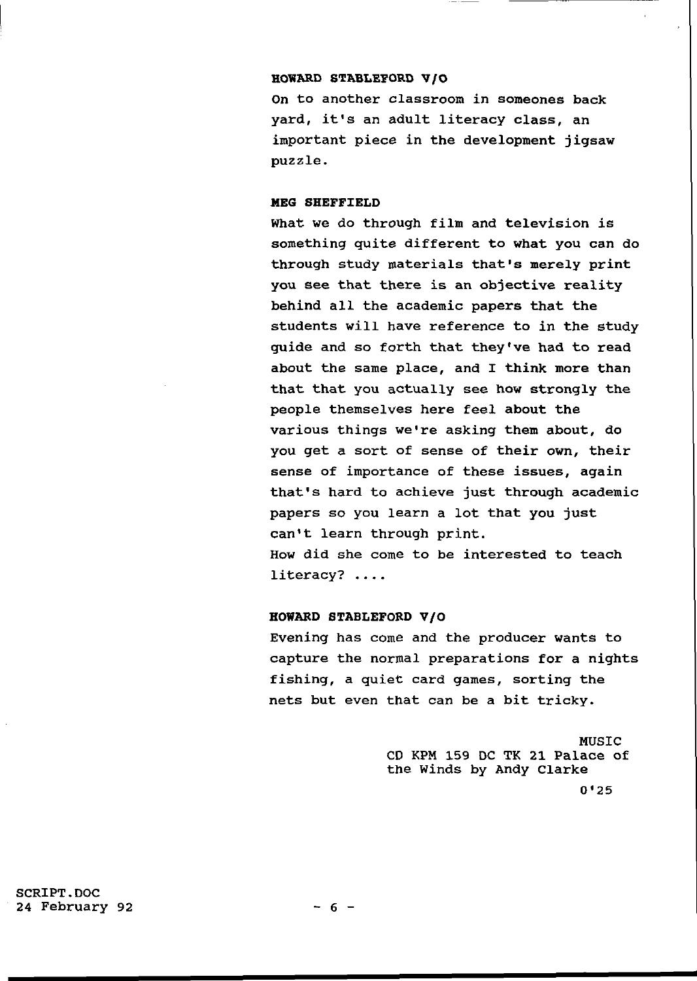## **HOWARD STABLEFORD V/ O**

On to another classroom in someones back yard, it's an adult literacy class, an important piece in the development jigsaw puzzle .

# **MEG SHEFFIELD**

What we do through film and television is something quite different to what you can do through study materials that's merely print you see that there is an objective reality behind all the academic papers that the students will have reference to in the study quide and so forth that they've had to read about the same place, and I think more than that that you actually see how strongly the people themselves here feel about the various things we're asking them about, do you get a sort of sense of their own, their sense of importance of these issues, again that's hard to achieve just through academic papers so you learn a lot that you just can't learn through print. How did she come to be interested to teach  $literacy?$  ....

#### **HOWARD STABLEFORD V/ 0**

Evening has come and the producer wants to capture the normal preparations for a nights fishing, a quiet card games, sorting the nets but even that can be a bit tricky.

> MUSIC CD KPM 159 DC TK 21 Palace of the Winds by Andy Clarke  $0'25$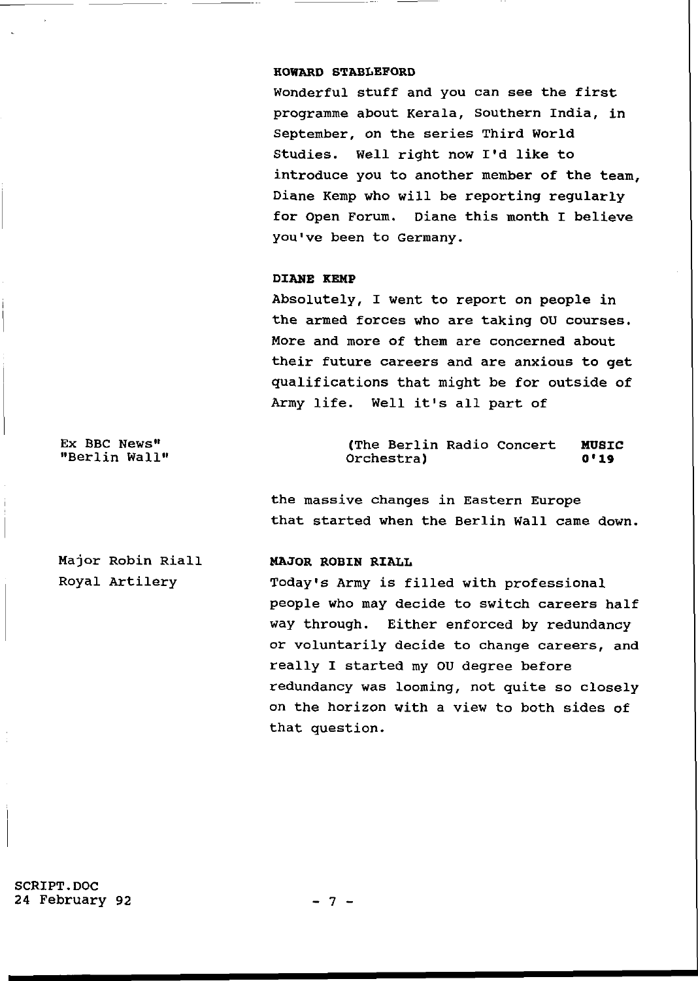#### **HOWARD STABLEFORD**

Wonderful stuff and you can see the first programme about Kerala, Southern India, in September, on the series Third World Studies. Well right now I'd like to introduce you to another member of the team, Diane Kemp who will be reporting regularly for Open Forum. Diane this month I believe you've been to Germany.

## **DIANE KEMP**

Absolutely, I went to report on people in the armed forces who are taking OU courses. More and more of them are concerned about their future careers and are anxious to get qualifications that might be for outside of Army life. Well it's all part of

Ex BBC News" "Berlin Wall"

Major Robin Riall

Royal Artilery

(The Berlin Radio Concert MUSIC Orchestra ) **0'19** 

the massive changes in Eastern Europe that started when the Berlin Wall came down.

# **MAJOR ROBIN RIALL**

Today's Army is filled with professional people who may decide to switch careers half way through. Either enforced by redundancy or voluntarily decide to change careers, and really I started my OU degree before redundancy was looming, not quite so closely on the horizon with a view to both sides of that question.

SCRIPT.DOC 24 February 92 - 7 -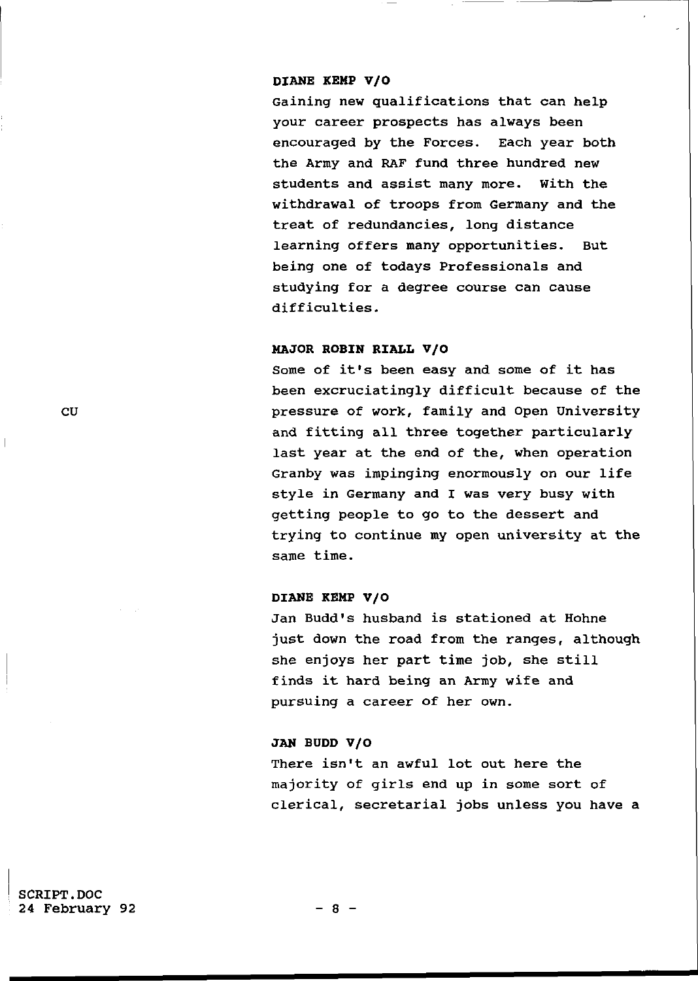## **DIANE KEMP V/O**

Gaining new qualifications that can help your career prospects has always been encouraged by the Forces. Each year both the Army and RAF fund three hundred new students and assist many more. With the withdrawal of troops from Germany and the treat of redundancies, long distance learning offers many opportunities. But being one of todays Professionals and studying for a degree course can cause difficulties .

## **MAJOR ROBIN RIALL V/O**

Some of it's been easy and some of it has been excruciatingly difficult because of the CU pressure of work, family and Open University and fitting all three together particularly last year at the end of the, when operation Granby was impinging enormously on our life style in Germany and I was very busy with getting people to go to the dessert and trying to continue my open university at the same time.

# **DIANE KEMP V/O**

Jan Budd's husband is stationed at Hohne just down the road from the ranges, although she enjoys her part time job, she still finds it hard being an Army wife and pursuing a career of her own.

#### JAN BUDD V/O

There isn't an awful lot out here the majority of girls end up in some sort of clerical, secretarial jobs unless you have a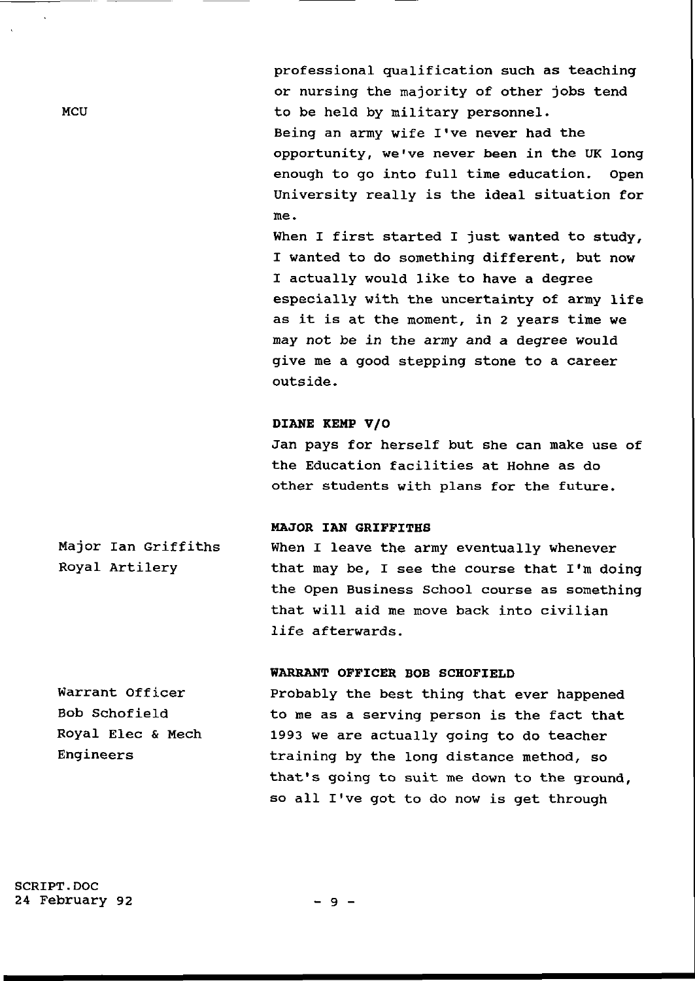professional qualification such as teaching or nursing the majority of other jobs tend to be held by military personnel. Being an army wife I've never had the opportunity, we've never been in the UK long enough to go into full time education. Open University really is the ideal situation for me.

When I first started I just wanted to study, I wanted to do something different, but now I actually would like to have a degree especially with the uncertainty of army life as it is at the moment, in 2 years time we may not be in the army and a degree would give me a good stepping stone to a career outside .

# DIANE KEMP V/O

Jan pays for herself but she can make use of the Education facilities at Hohne as do other students with plans for the future.

### **MAJOR IAN GRIFFITHS**

Major Ian Griffiths Royal Artilery When I leave the army eventually whenever that may be, I see the course that  $I'm$  doing the Open Business School course as something that will aid me move back into civilian life afterwards.

# **WARRANT OFFICER BOB SCHOFIELD**

Warrant Officer Bob Schofield Royal Elec & Mech **Engineers** Probably the best thing that ever happened to me as a serving person is the fact that 1993 we are actually going to do teacher training by the long distance method, so that's going to suit me down to the ground, so all I've got to do now is get through

**MCU**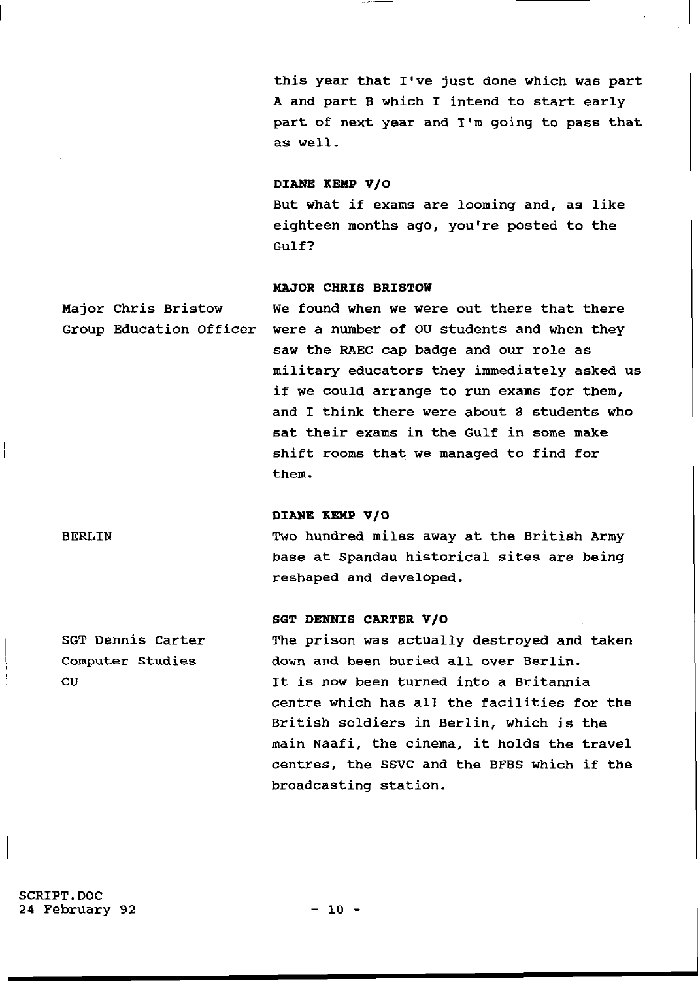this year that I've just done which was part A and part B which I intend to start early part of next year and I'm going to pass that as well.

## DIANE KEMP V/O

But what if exams are looming and, as like eighteen months ago, you're posted to the  $Gullf?$ 

#### **MAJOR CHRIS BRISTOW**

Major Chris Bristow We found when we were out there that there Group Education Officer were a number of OU students and when they saw the RAEC cap badge and our role as military educators they immediately asked us if we could arrange to run exams for them, and I think there were about 8 students who sat their exams in the Gulf in some make shift rooms that we managed to find for them.

# **DIANE KEMP V/O**

BERLIN Two hundred miles away at the British Army base at Spandau historical sites are being reshaped and developed .

## **SGT DENNIS CARTER V/ O**

SGT Dennis Carter Computer Studies CU The prison was actually destroyed and taken down and been buried all over Berlin. It is now been turned into a Britannia centre which has all the facilities for the British soldiers in Berlin, which is the main Naafi, the cinema, it holds the travel centres, the SSVC and the BFBS which if the broadcasting station.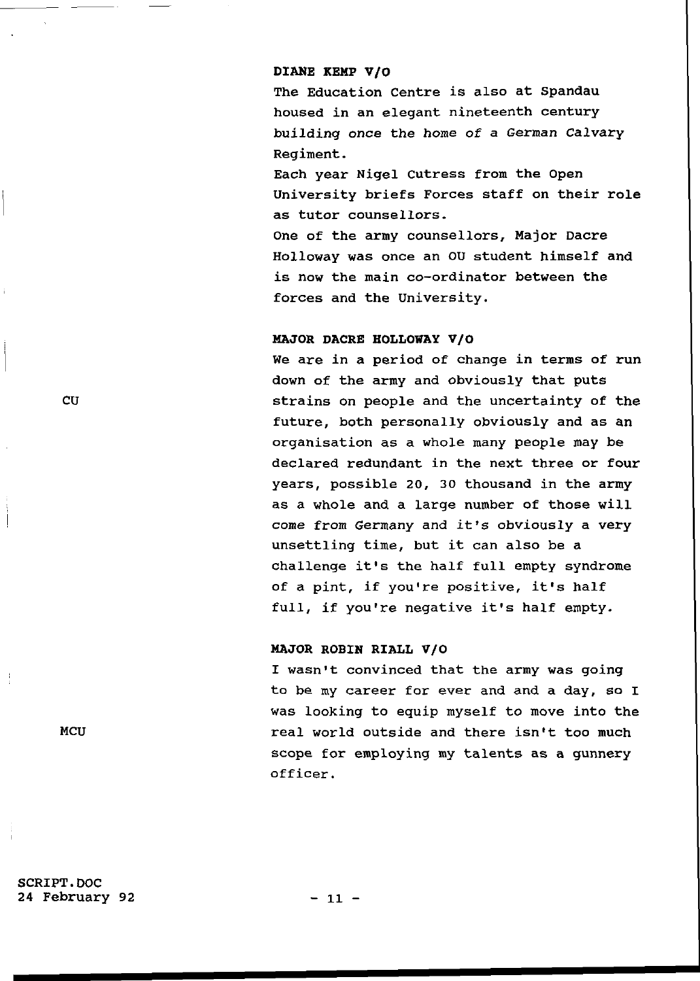#### DIANE KEMP V/O

The Education Centre is also at Spandau housed in an elegant nineteenth century building once the home of a German Calvary Regiment.

Each year Nigel Cutress from the Open University briefs Forces staff on their role as tutor counsellors.

One of the army counsellors, Major Dacre Holloway was once an OU student himself and is now the main co-ordinator between the forces and the University.

## **MAJOR DACRE HOLLOWAY V/O**

We are in a period of change in terms of run down of the army and obviously that puts CU strains on people and the uncertainty of the future, both personally obviously and as an organisation as a whole many people may be declared redundant in the next three or four years, possible 20, 30 thousand in the army as a whole and a large number of those will come from Germany and it's obviously a very unsettling time, but it can also be a challenge it's the half full empty syndrome of a pint, if you're positive, it's half full, if you're negative it's half empty.

## **MAJOR ROBIN RIALL V/O**

I wasn't convinced that the army was going to be my career for ever and and a day, so I was looking to equip myself to move into the MCU real world outside and there isn't too much scope for employing my talents as a gunnery officer .

SCRIPT.DOC 24 February 92 - 11 -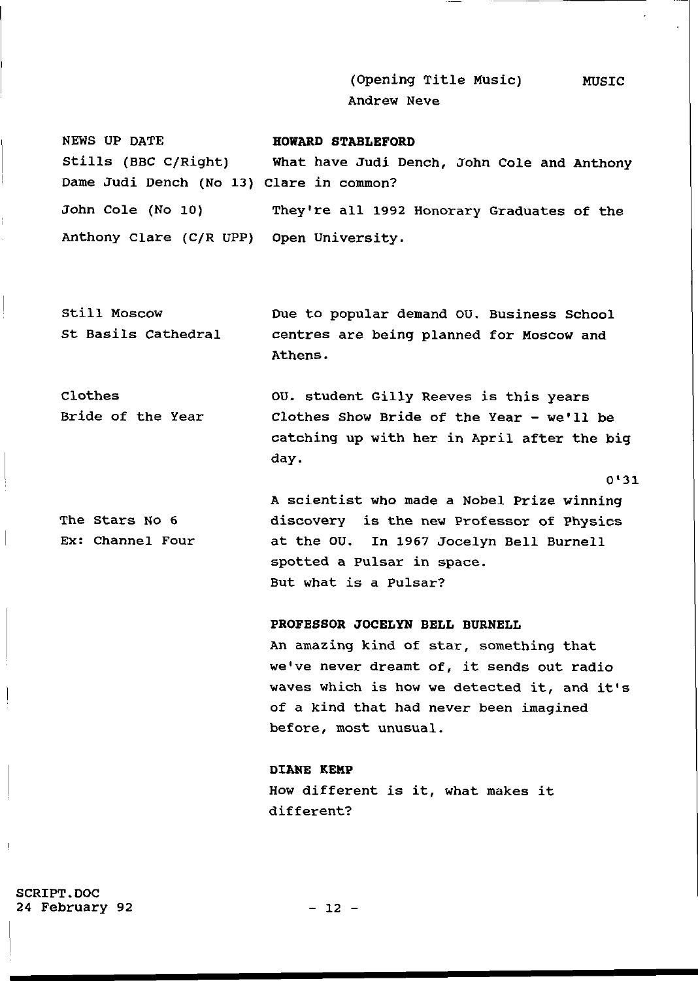(Opening Title Music) Andrew Neve MUSIC

 $0'31$ 

NEWS UP DATE **HOWARD STABLEFORD**  Stills (BBC C/Right) What have Judi Dench, John Cole and Anthony Dame Judi Dench (No 13) Clare in common? John Cole (No 10) They're all 1992 Honorary Graduates of the Anthony Clare (C/R UPP) Open University.

Still Moscow St Basils Cathedral Due to popular demand OU. Business School centres are being planned for Moscow and Athens .

Clothes Bride of the Year OU. student Gilly Reeves is this years Clothes Show Bride of the Year -  $we'$ ll be catching up with her in April after the big day .

The Stars No 6 Ex: Channel Four A scientist who made a Nobel Prize winning discovery is the new Professor of Physics at the OU. In 1967 Jocelyn Bell Burnell spotted a Pulsar in space. But what is a Pulsar?

# **PROFESSOR JOCELYN BELL BURNELL**

An amazing kind of star, something that we've never dreamt of, it sends out radio waves which is how we detected it, and it's of a kind that had never been imagined before, most unusual.

**DIANE KEMP**  How different is it, what makes it different?

SCRIPT.DOC 24 February 92 - 12 -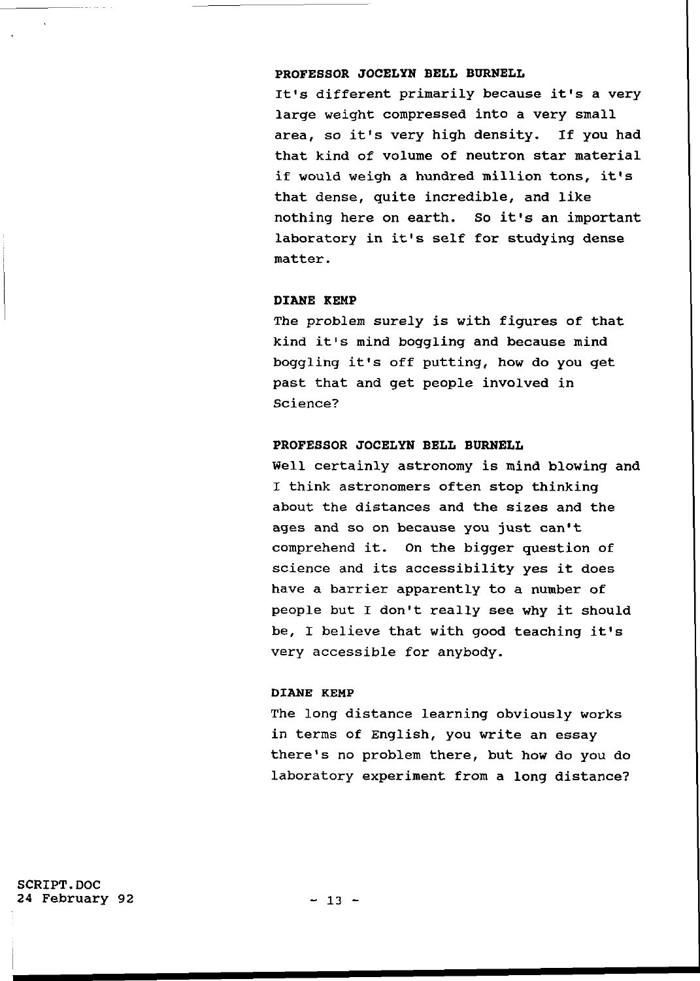## **PROFESSOR JOCELYN BELL BURNELL**

It's different primarily because it's a very large weight compressed into a very small area, so it's very high density. If you had that kind of volume of neutron star material if would weigh a hundred million tons, it's that dense, quite incredible, and like nothing here on earth. So it's an important laboratory in it's self for studying dense matter .

# **DIANE KEMP**

The problem surely is with figures of that kind it's mind boggling and because mind boggling it's off putting, how do you get past that and get people involved in Science?

## **PROFESSOR JOCELYN BELL BURNELL**

Well certainly astronomy is mind blowing and I think astronomers often stop thinking about the distances and the sizes and the ages and so on because you just can't comprehend it. On the bigger question of science and its accessibility yes it does have a barrier apparently to a number of people but I don't really see why it should be, I believe that with good teaching it's very accessible for anybody.

# DIANE KEMP

The long distance learning obviously works in terms of English, you write an essay there's no problem there, but how do you do laboratory experiment from a long distance?

SCRIPT.DOC 24 February 92 - 13 -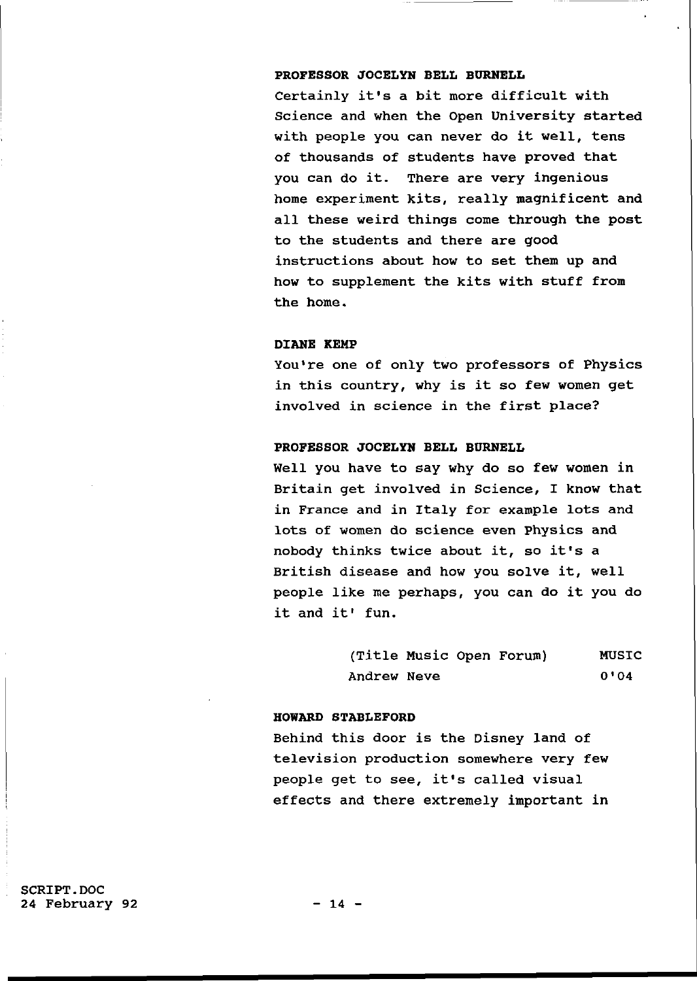# **PROFESSOR JOCELYN BELL BURNELL**

Certainly it's a bit more difficult with Science and when the Open University started with people you can never do it well, tens of thousands of students have proved that you can do it. There are very ingenious home experiment kits, really magnificent and all these weird things come through the post to the students and there are good instructions about how to set them up and how to supplement the kits with stuff from the home.

#### **DIANE KEMP**

You're one of only two professors of Physics in this country, why is it so few women get involved in science in the first place?

# **PROFESSOR JOCELYN BELL BURNELL**

Well you have to say why do so few women in Britain get involved in Science, I know that in France and in Italy for example lots and lots of women do science even Physics and nobody thinks twice about it, so it's a British disease and how you solve it, well people like me perhaps, you can do it you do it and it' fun.

| (Title Music Open Forum) |  |  | <b>MUSIC</b> |
|--------------------------|--|--|--------------|
| Andrew Neve              |  |  | 0'04         |

## **HOWARD STABLEFORD**

Behind this door is the Disney land of television production somewhere very few people get to see, it's called visual effects and there extremely important in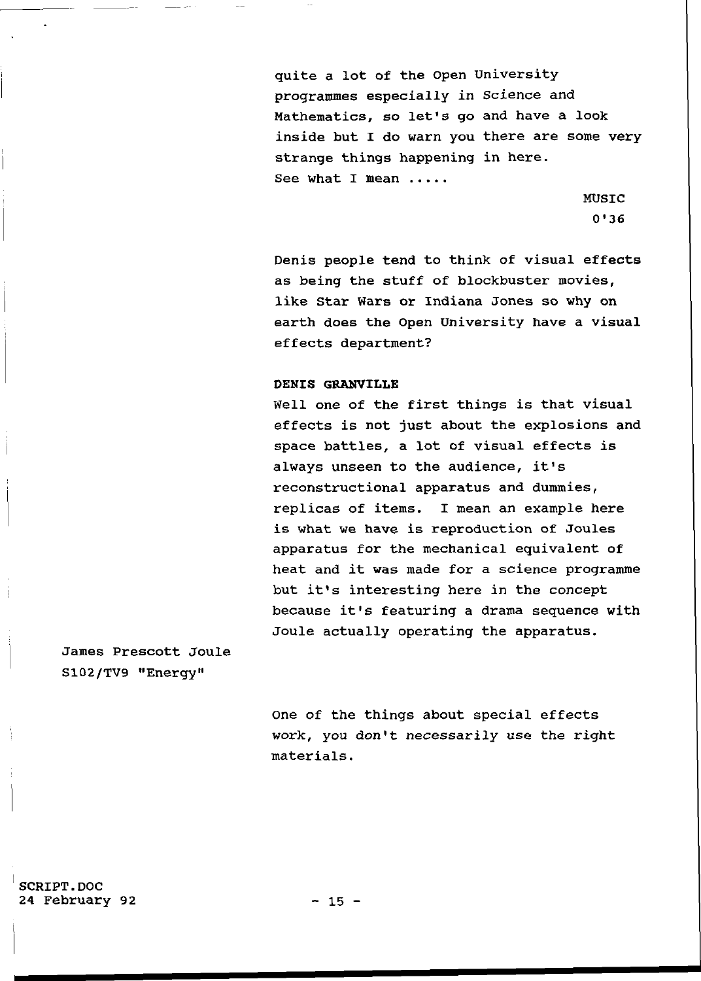quite a lot of the Open University programmes especially in Science and Mathematics, so let's go and have a look inside but I do warn you there are some very strange things happening in here. See what I mean .....

> MUSIC 0\*36

Denis people tend to think of visual effects as being the stuff of blockbuster movies, like Star Wars or Indiana Jones so why on earth does the Open University have a visual effects department?

## **DENIS GRANVILLE**

Well one of the first things is that visual effects is not just about the explosions and space battles, a lot of visual effects is always unseen to the audience, it's reconstructional apparatus and dummies, replicas of items. I mean an example here is what we have is reproduction of Joules apparatus for the mechanical equivalent of heat and it was made for a science programme but it's interesting here in the concept because it's featuring a drama sequence with Joule actually operating the apparatus.

James Prescott Joule S102/TV9 "Energy "

> One of the things about special effects work, you don't necessarily use the right materials .

SCRIPT.DOC 24 February 92 - 15 -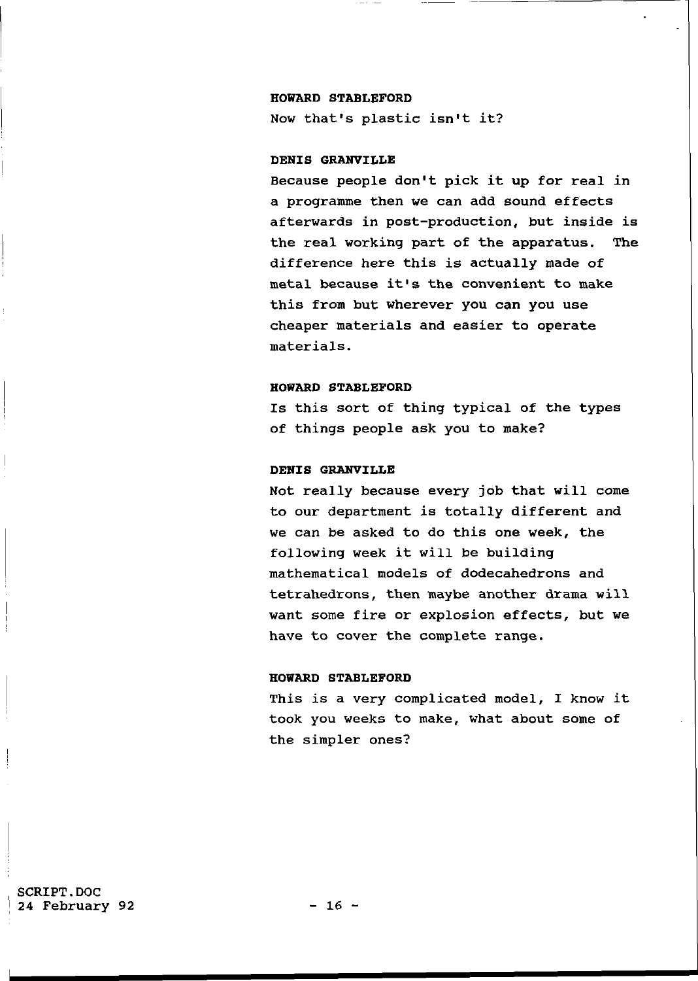## HOWARD STABLEFORD

Now that's plastic isn't it?

# DENIS GRANVILLE

Because people don't pick it up for real in a programme then we can add sound effects afterwards in post-production, but inside is the real working part of the apparatus. The difference here this is actually made of metal because it's the convenient to make this from but wherever you can you use cheaper materials and easier to operate materials .

## HOWARD STABLEFORD

Is this sort of thing typical of the types of things people ask you to make?

## DENIS GRANVILLE

Not really because every job that will come to our department is totally different and we can be asked to do this one week, the following week it will be building mathematical models of dodecahedrons and tetrahedrons, then maybe another drama will want some fire or explosion effects, but we have to cover the complete range.

#### HOWARD STABLEFORD

This is a very complicated model, I know it took you weeks to make, what about some of the simpler ones?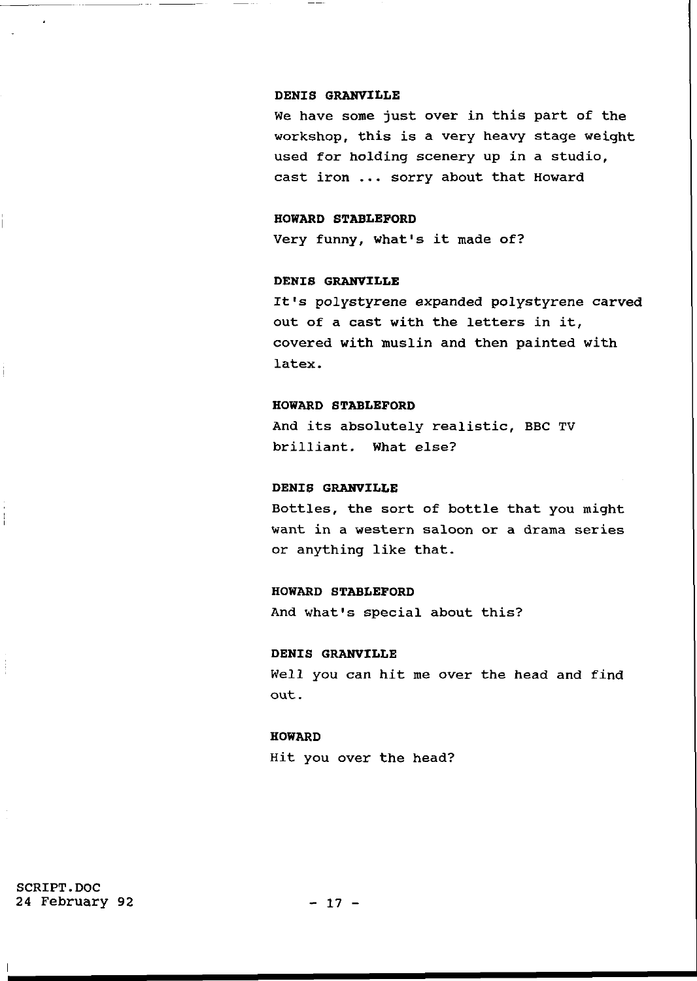#### **DENIS GRANVILLE**

We have some just over in this part of the workshop, this is a very heavy stage weight used for holding scenery up in a studio, cast iron ... sorry about that Howard

## **HOWARD STABLEFORD**

Very funny, what's it made of?

# **DENIS GRANVILLE**

It's polystyrene expanded polystyrene carved out of a cast with the letters in it, covered with muslin and then painted with latex.

## **HOWARD STABLEFORD**

And its absolutely realistic, BBC TV brilliant. What else?

## **DENIS GRANVILLE**

Bottles, the sort of bottle that you might want in a western saloon or a drama series or anything like that.

## **HOWARD STABLEFORD**

And what's special about this?

#### **DENIS GRANVILLE**

Well you can hit me over the head and find out .

#### **HOWARD**

Hit you over the head?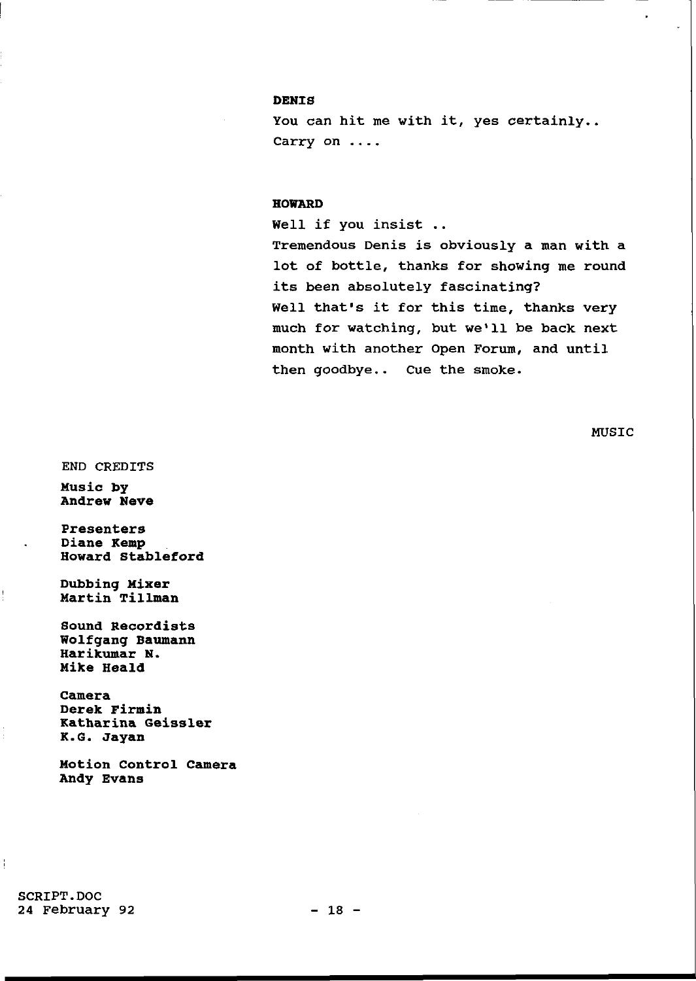# **DENIS**

You can hit me with it, yes certainly.. Carry on ....

#### **HOWARD**

Well if you insist .. Tremendous Denis is obviously a man with a lot of bottle, thanks for showing me round its been absolutely fascinating? Well that's it for this time, thanks very much for watching, but we'll be back next month with another Open Forum, and until then goodbye.. Cue the smoke.

MUSIC

END CREDITS

**Music by Andrew Neve** 

**Presenter s Diane Kemp Howard Stableford** 

**Dubbing Mixer Marti n Tillma n** 

**Sound Recordists Wolfgang Baumann Harikumar N. Mike Heald** 

**Camera Derek Firmin Katharina Geissler K.G. Jayan** 

**Motion Control Camera Andy Evans** 

SCRIPT.DOC 24 February 92 - 18 -

Ť